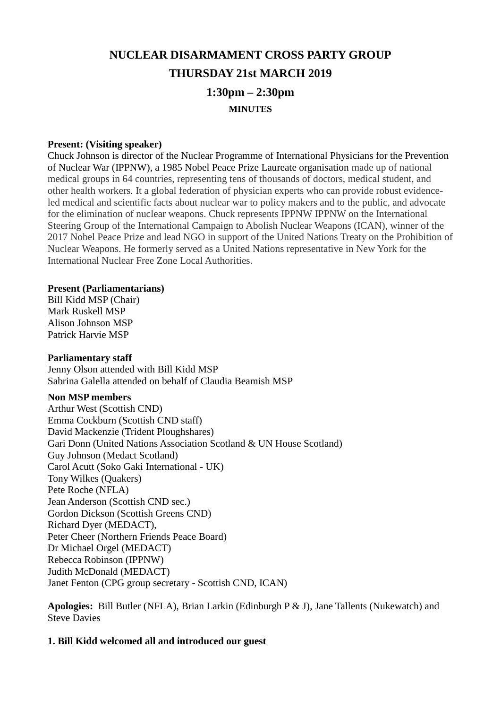# **NUCLEAR DISARMAMENT CROSS PARTY GROUP THURSDAY 21st MARCH 2019 1:30pm – 2:30pm MINUTES**

#### **Present: (Visiting speaker)**

Chuck Johnson is director of the Nuclear Programme of International Physicians for the Prevention of Nuclear War (IPPNW), a 1985 Nobel Peace Prize Laureate organisation made up of national medical groups in 64 countries, representing tens of thousands of doctors, medical student, and other health workers. It a global federation of physician experts who can provide robust evidenceled medical and scientific facts about nuclear war to policy makers and to the public, and advocate for the elimination of nuclear weapons. Chuck represents IPPNW IPPNW on the International Steering Group of the International Campaign to Abolish Nuclear Weapons (ICAN), winner of the 2017 Nobel Peace Prize and lead NGO in support of the United Nations Treaty on the Prohibition of Nuclear Weapons. He formerly served as a United Nations representative in New York for the International Nuclear Free Zone Local Authorities.

#### **Present (Parliamentarians)**

Bill Kidd MSP (Chair) Mark Ruskell MSP Alison Johnson MSP Patrick Harvie MSP

#### **Parliamentary staff**

Jenny Olson attended with Bill Kidd MSP Sabrina Galella attended on behalf of Claudia Beamish MSP

#### **Non MSP members**

Arthur West (Scottish CND) Emma Cockburn (Scottish CND staff) David Mackenzie (Trident Ploughshares) Gari Donn (United Nations Association Scotland & UN House Scotland) Guy Johnson (Medact Scotland) Carol Acutt (Soko Gaki International - UK) Tony Wilkes (Quakers) Pete Roche (NFLA) Jean Anderson (Scottish CND sec.) Gordon Dickson (Scottish Greens CND) Richard Dyer (MEDACT), Peter Cheer (Northern Friends Peace Board) Dr Michael Orgel (MEDACT) Rebecca Robinson (IPPNW) Judith McDonald (MEDACT) Janet Fenton (CPG group secretary - Scottish CND, ICAN)

**Apologies:** Bill Butler (NFLA), Brian Larkin (Edinburgh P & J), Jane Tallents (Nukewatch) and Steve Davies

#### **1. Bill Kidd welcomed all and introduced our guest**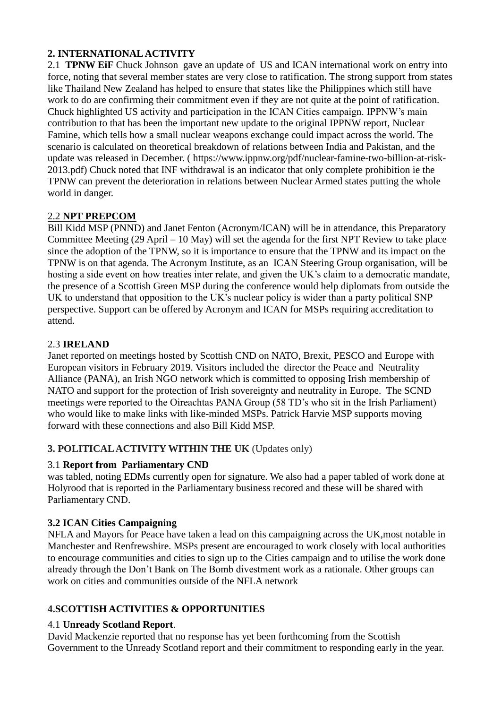# **2. INTERNATIONAL ACTIVITY**

2.1 **TPNW EiF** Chuck Johnson gave an update of US and ICAN international work on entry into force, noting that several member states are very close to ratification. The strong support from states like Thailand New Zealand has helped to ensure that states like the Philippines which still have work to do are confirming their commitment even if they are not quite at the point of ratification. Chuck highlighted US activity and participation in the ICAN Cities campaign. IPPNW's main contribution to that has been the important new update to the original IPPNW report, Nuclear Famine, which tells how a small nuclear weapons exchange could impact across the world. The scenario is calculated on theoretical breakdown of relations between India and Pakistan, and the update was released in December. ( [https://www.ippnw.org/pdf/nuclear-famine-two-billion-at-risk-](https://www.ippnw.org/pdf/nuclear-famine-two-billion-at-risk-2013.pdf)[2013.pdf\)](https://www.ippnw.org/pdf/nuclear-famine-two-billion-at-risk-2013.pdf) Chuck noted that INF withdrawal is an indicator that only complete prohibition ie the TPNW can prevent the deterioration in relations between Nuclear Armed states putting the whole world in danger.

# 2.2 **NPT PREPCOM**

Bill Kidd MSP (PNND) and Janet Fenton (Acronym/ICAN) will be in attendance, this Preparatory Committee Meeting (29 April – 10 May) will set the agenda for the first NPT Review to take place since the adoption of the TPNW, so it is importance to ensure that the TPNW and its impact on the TPNW is on that agenda. The Acronym Institute, as an ICAN Steering Group organisation, will be hosting a side event on how treaties inter relate, and given the UK's claim to a democratic mandate, the presence of a Scottish Green MSP during the conference would help diplomats from outside the UK to understand that opposition to the UK's nuclear policy is wider than a party political SNP perspective. Support can be offered by Acronym and ICAN for MSPs requiring accreditation to attend.

# 2.3 **IRELAND**

Janet reported on meetings hosted by Scottish CND on NATO, Brexit, PESCO and Europe with European visitors in February 2019. Visitors included the director the Peace and Neutrality Alliance (PANA), an Irish NGO network which is committed to opposing Irish membership of NATO and support for the protection of Irish sovereignty and neutrality in Europe. The SCND meetings were reported to the Oireachtas PANA Group (58 TD's who sit in the Irish Parliament) who would like to make links with like-minded MSPs. Patrick Harvie MSP supports moving forward with these connections and also Bill Kidd MSP.

# **3. POLITICAL ACTIVITY WITHIN THE UK** (Updates only)

# 3.1 **Report from Parliamentary CND**

was tabled, noting EDMs currently open for signature. We also had a paper tabled of work done at Holyrood that is reported in the Parliamentary business recored and these will be shared with Parliamentary CND.

# **3.2 ICAN Cities Campaigning**

NFLA and Mayors for Peace have taken a lead on this campaigning across the UK,most notable in Manchester and Renfrewshire. MSPs present are encouraged to work closely with local authorities to encourage communities and cities to sign up to the Cities campaign and to utilise the work done already through the Don't Bank on The Bomb divestment work as a rationale. Other groups can work on cities and communities outside of the NFLA network

# **4.SCOTTISH ACTIVITIES & OPPORTUNITIES**

# 4.1 **Unready Scotland Report**.

David Mackenzie reported that no response has yet been forthcoming from the Scottish Government to the Unready Scotland report and their commitment to responding early in the year.